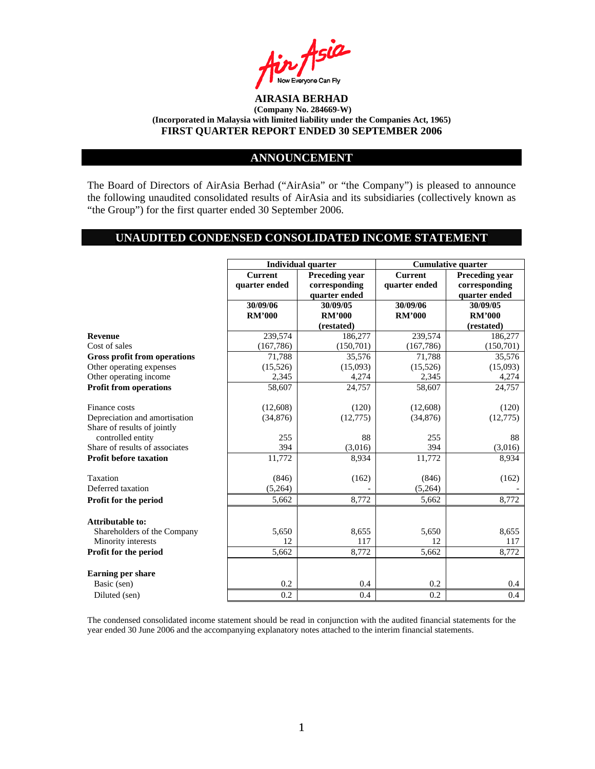

#### **ANNOUNCEMENT**

The Board of Directors of AirAsia Berhad ("AirAsia" or "the Company") is pleased to announce the following unaudited consolidated results of AirAsia and its subsidiaries (collectively known as "the Group") for the first quarter ended 30 September 2006.

# **UNAUDITED CONDENSED CONSOLIDATED INCOME STATEMENT**

|                                     |                | <b>Individual quarter</b> |                | <b>Cumulative quarter</b> |
|-------------------------------------|----------------|---------------------------|----------------|---------------------------|
|                                     | <b>Current</b> | <b>Preceding year</b>     | <b>Current</b> | <b>Preceding year</b>     |
|                                     | quarter ended  | corresponding             | quarter ended  | corresponding             |
|                                     |                | quarter ended             |                | quarter ended             |
|                                     | 30/09/06       | 30/09/05                  | 30/09/06       | 30/09/05                  |
|                                     | <b>RM'000</b>  | <b>RM'000</b>             | <b>RM'000</b>  | <b>RM'000</b>             |
|                                     |                | (restated)                |                | (restated)                |
| <b>Revenue</b>                      | 239,574        | 186,277                   | 239,574        | 186,277                   |
| Cost of sales                       | (167, 786)     | (150,701)                 | (167, 786)     | (150,701)                 |
| <b>Gross profit from operations</b> | 71,788         | 35,576                    | 71,788         | 35,576                    |
| Other operating expenses            | (15,526)       | (15,093)                  | (15,526)       | (15,093)                  |
| Other operating income              | 2,345          | 4,274                     | 2,345          | 4,274                     |
| <b>Profit from operations</b>       | 58,607         | 24,757                    | 58,607         | 24,757                    |
|                                     |                |                           |                |                           |
| Finance costs                       | (12,608)       | (120)                     | (12,608)       | (120)                     |
| Depreciation and amortisation       | (34, 876)      | (12, 775)                 | (34,876)       | (12, 775)                 |
| Share of results of jointly         |                |                           |                |                           |
| controlled entity                   | 255            | 88                        | 255            | 88                        |
| Share of results of associates      | 394            | (3,016)                   | 394            | (3,016)                   |
| <b>Profit before taxation</b>       | 11,772         | 8,934                     | 11,772         | 8,934                     |
|                                     |                |                           |                |                           |
| Taxation                            | (846)          | (162)                     | (846)          | (162)                     |
| Deferred taxation                   | (5,264)        |                           | (5,264)        |                           |
| Profit for the period               | 5.662          | 8,772                     | 5,662          | 8,772                     |
|                                     |                |                           |                |                           |
| Attributable to:                    |                |                           |                |                           |
| Shareholders of the Company         | 5,650          | 8,655                     | 5,650          | 8,655                     |
| Minority interests                  | 12             | 117                       | 12             | 117                       |
| Profit for the period               | 5,662          | 8,772                     | 5,662          | 8,772                     |
|                                     |                |                           |                |                           |
| <b>Earning per share</b>            |                |                           |                |                           |
| Basic (sen)                         | 0.2            | 0.4                       | 0.2            | 0.4                       |
| Diluted (sen)                       | 0.2            | 0.4                       | 0.2            | 0.4                       |

The condensed consolidated income statement should be read in conjunction with the audited financial statements for the year ended 30 June 2006 and the accompanying explanatory notes attached to the interim financial statements.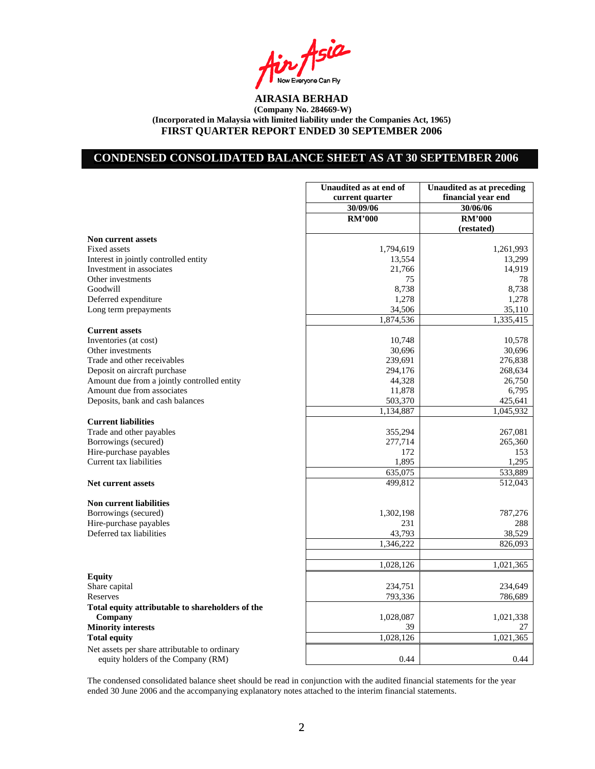Asia Now Everyone Can Fly<br>**AIRASIA BERHAD** 

# **CONDENSED CONSOLIDATED BALANCE SHEET AS AT 30 SEPTEMBER 2006**

|                                                  | Unaudited as at end of<br>current quarter | <b>Unaudited as at preceding</b><br>financial year end |
|--------------------------------------------------|-------------------------------------------|--------------------------------------------------------|
|                                                  | 30/09/06                                  | 30/06/06                                               |
|                                                  | <b>RM'000</b>                             | <b>RM'000</b>                                          |
|                                                  |                                           | (restated)                                             |
| <b>Non current assets</b>                        |                                           |                                                        |
| <b>Fixed assets</b>                              | 1,794,619                                 | 1,261,993                                              |
| Interest in jointly controlled entity            | 13,554                                    | 13,299                                                 |
| Investment in associates                         | 21,766                                    | 14,919                                                 |
| Other investments                                | 75                                        | 78                                                     |
| Goodwill                                         | 8,738                                     | 8,738                                                  |
| Deferred expenditure                             | 1,278                                     | 1,278                                                  |
| Long term prepayments                            | 34,506                                    | 35,110                                                 |
|                                                  | 1,874,536                                 | 1,335,415                                              |
| <b>Current assets</b>                            |                                           |                                                        |
| Inventories (at cost)                            | 10,748                                    | 10,578                                                 |
| Other investments                                | 30,696                                    | 30,696                                                 |
| Trade and other receivables                      | 239,691                                   | 276,838                                                |
| Deposit on aircraft purchase                     | 294,176                                   | 268,634                                                |
| Amount due from a jointly controlled entity      | 44,328                                    | 26,750                                                 |
| Amount due from associates                       | 11,878                                    | 6,795                                                  |
| Deposits, bank and cash balances                 | 503,370                                   | 425,641                                                |
|                                                  | 1,134,887                                 | 1,045,932                                              |
| <b>Current liabilities</b>                       |                                           |                                                        |
| Trade and other payables                         | 355,294                                   | 267,081                                                |
| Borrowings (secured)                             | 277,714                                   | 265,360                                                |
| Hire-purchase payables                           | 172                                       | 153                                                    |
| Current tax liabilities                          | 1,895                                     | 1,295                                                  |
|                                                  | 635,075                                   | 533,889                                                |
| Net current assets                               | 499,812                                   | 512,043                                                |
| <b>Non current liabilities</b>                   |                                           |                                                        |
| Borrowings (secured)                             | 1,302,198                                 | 787,276                                                |
| Hire-purchase payables                           | 231                                       | 288                                                    |
| Deferred tax liabilities                         | 43,793                                    | 38,529                                                 |
|                                                  | 1,346,222                                 | 826,093                                                |
|                                                  |                                           |                                                        |
|                                                  | 1,028,126                                 | 1,021,365                                              |
| <b>Equity</b>                                    |                                           |                                                        |
| Share capital                                    | 234,751                                   | 234,649                                                |
| Reserves                                         | 793,336                                   | 786,689                                                |
| Total equity attributable to shareholders of the |                                           |                                                        |
| Company                                          | 1,028,087                                 | 1,021,338                                              |
| <b>Minority interests</b>                        | 39                                        | 27                                                     |
| <b>Total equity</b>                              | 1,028,126                                 | 1,021,365                                              |
| Net assets per share attributable to ordinary    |                                           |                                                        |
| equity holders of the Company (RM)               | 0.44                                      | 0.44                                                   |

The condensed consolidated balance sheet should be read in conjunction with the audited financial statements for the year ended 30 June 2006 and the accompanying explanatory notes attached to the interim financial statements.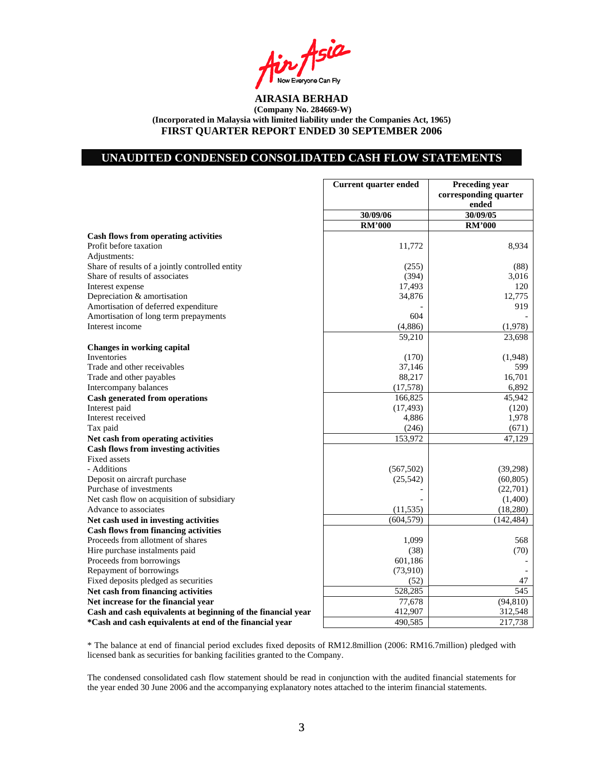Asia **I** Now Everyone Can Fly<br>**AIRASIA BERHAD** 

## **UNAUDITED CONDENSED CONSOLIDATED CASH FLOW STATEMENTS**

|                                                              | <b>Current quarter ended</b> | <b>Preceding year</b><br>corresponding quarter |
|--------------------------------------------------------------|------------------------------|------------------------------------------------|
|                                                              |                              | ended                                          |
|                                                              | 30/09/06                     | 30/09/05                                       |
|                                                              | <b>RM'000</b>                | <b>RM'000</b>                                  |
| Cash flows from operating activities                         |                              |                                                |
| Profit before taxation                                       | 11,772                       | 8,934                                          |
| Adjustments:                                                 |                              |                                                |
| Share of results of a jointly controlled entity              | (255)                        | (88)                                           |
| Share of results of associates                               | (394)                        | 3,016                                          |
| Interest expense                                             | 17,493                       | 120                                            |
| Depreciation & amortisation                                  | 34,876                       | 12,775                                         |
| Amortisation of deferred expenditure                         |                              | 919                                            |
| Amortisation of long term prepayments                        | 604                          |                                                |
| Interest income                                              | (4,886)                      | (1,978)                                        |
|                                                              | 59,210                       | 23,698                                         |
| <b>Changes in working capital</b>                            |                              |                                                |
| Inventories                                                  | (170)                        | (1,948)                                        |
| Trade and other receivables                                  | 37,146                       | 599                                            |
| Trade and other payables                                     | 88,217                       | 16,701                                         |
| Intercompany balances                                        | (17,578)                     | 6,892                                          |
| <b>Cash generated from operations</b>                        | 166,825                      | 45,942                                         |
| Interest paid                                                | (17, 493)                    | (120)                                          |
| Interest received                                            | 4,886                        | 1,978                                          |
| Tax paid                                                     | (246)                        | (671)                                          |
| Net cash from operating activities                           | 153,972                      | 47,129                                         |
| <b>Cash flows from investing activities</b>                  |                              |                                                |
| <b>Fixed assets</b>                                          |                              |                                                |
| - Additions                                                  | (567, 502)                   | (39, 298)                                      |
| Deposit on aircraft purchase                                 | (25, 542)                    | (60, 805)                                      |
| Purchase of investments                                      |                              | (22,701)                                       |
| Net cash flow on acquisition of subsidiary                   |                              | (1,400)                                        |
| Advance to associates                                        | (11, 535)                    | (18, 280)                                      |
| Net cash used in investing activities                        | (604, 579)                   | (142, 484)                                     |
| <b>Cash flows from financing activities</b>                  |                              |                                                |
| Proceeds from allotment of shares                            | 1,099                        | 568                                            |
| Hire purchase instalments paid                               | (38)                         | (70)                                           |
| Proceeds from borrowings                                     | 601,186                      |                                                |
| Repayment of borrowings                                      | (73,910)                     |                                                |
| Fixed deposits pledged as securities                         | (52)                         | 47                                             |
| Net cash from financing activities                           | 528,285                      | 545                                            |
| Net increase for the financial year                          | 77,678                       | (94, 810)                                      |
| Cash and cash equivalents at beginning of the financial year | 412,907                      | 312,548                                        |
| *Cash and cash equivalents at end of the financial year      | 490,585                      | 217,738                                        |
|                                                              |                              |                                                |

\* The balance at end of financial period excludes fixed deposits of RM12.8million (2006: RM16.7million) pledged with licensed bank as securities for banking facilities granted to the Company.

The condensed consolidated cash flow statement should be read in conjunction with the audited financial statements for the year ended 30 June 2006 and the accompanying explanatory notes attached to the interim financial statements.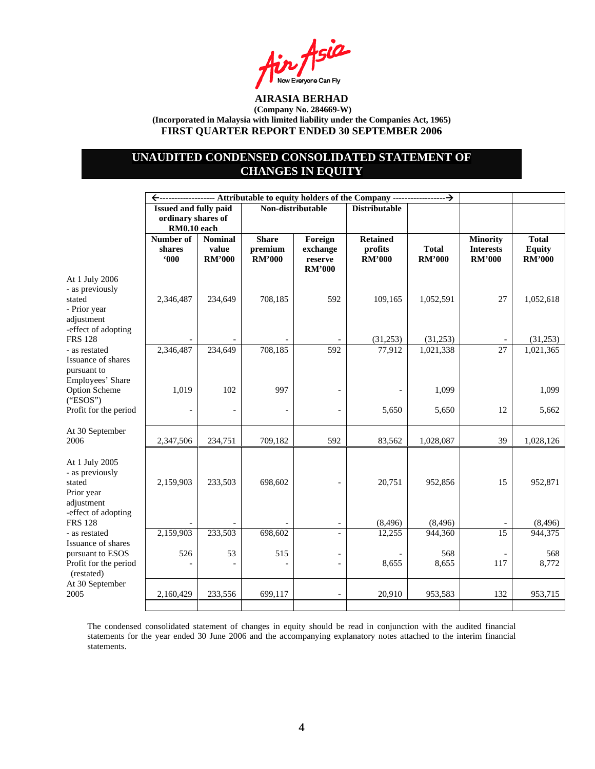$A$ sia Now Everyone Can Fly<br>**AIRASIA BERHAD** 

# **UNAUDITED CONDENSED CONSOLIDATED STATEMENT OF CHANGES IN EQUITY**

|                                                                                                  | Issued and fully paid<br>ordinary shares of<br>RM0.10 each |                                          | Non-distributable                        |                                                 | <b>Distributable</b>                        |                               |                                                      |                                                |
|--------------------------------------------------------------------------------------------------|------------------------------------------------------------|------------------------------------------|------------------------------------------|-------------------------------------------------|---------------------------------------------|-------------------------------|------------------------------------------------------|------------------------------------------------|
|                                                                                                  | Number of<br>shares<br>600                                 | <b>Nominal</b><br>value<br><b>RM'000</b> | <b>Share</b><br>premium<br><b>RM'000</b> | Foreign<br>exchange<br>reserve<br><b>RM'000</b> | <b>Retained</b><br>profits<br><b>RM'000</b> | <b>Total</b><br><b>RM'000</b> | <b>Minority</b><br><b>Interests</b><br><b>RM'000</b> | <b>Total</b><br><b>Equity</b><br><b>RM'000</b> |
| At 1 July 2006<br>- as previously<br>stated<br>- Prior year<br>adjustment<br>-effect of adopting | 2,346,487                                                  | 234,649                                  | 708,185                                  | 592                                             | 109,165                                     | 1,052,591                     | 27                                                   | 1,052,618                                      |
| <b>FRS 128</b>                                                                                   |                                                            |                                          |                                          |                                                 | (31,253)                                    | (31,253)                      |                                                      | (31,253)                                       |
| - as restated<br>Issuance of shares<br>pursuant to<br>Employees' Share                           | 2,346,487                                                  | 234,649                                  | 708,185                                  | 592                                             | 77,912                                      | 1,021,338                     | 27                                                   | 1,021,365                                      |
| Option Scheme<br>("ESOS")                                                                        | 1,019                                                      | 102                                      | 997                                      |                                                 |                                             | 1,099                         |                                                      | 1,099                                          |
| Profit for the period                                                                            |                                                            | $\qquad \qquad -$                        |                                          |                                                 | 5,650                                       | 5,650                         | 12                                                   | 5,662                                          |
| At 30 September<br>2006                                                                          | 2,347,506                                                  | 234,751                                  | 709,182                                  | 592                                             | 83,562                                      | 1,028,087                     | 39                                                   | 1,028,126                                      |
| At 1 July 2005<br>- as previously<br>stated<br>Prior year<br>adjustment<br>-effect of adopting   | 2,159,903                                                  | 233,503                                  | 698,602                                  |                                                 | 20,751                                      | 952,856                       | 15                                                   | 952,871                                        |
| <b>FRS 128</b>                                                                                   |                                                            |                                          |                                          |                                                 | (8, 496)                                    | (8, 496)                      |                                                      | (8, 496)                                       |
| - as restated<br>Issuance of shares                                                              | 2,159,903                                                  | 233,503                                  | 698,602                                  | $\overline{a}$                                  | 12,255                                      | 944,360                       | 15                                                   | 944,375                                        |
| pursuant to ESOS<br>Profit for the period<br>(restated)                                          | 526                                                        | 53<br>$\overline{a}$                     | 515                                      |                                                 | 8,655                                       | 568<br>8,655                  | 117                                                  | 568<br>8,772                                   |
| At 30 September<br>2005                                                                          | 2,160,429                                                  | 233,556                                  | 699,117                                  |                                                 | 20,910                                      | 953,583                       | 132                                                  | 953,715                                        |
|                                                                                                  |                                                            |                                          |                                          |                                                 |                                             |                               |                                                      |                                                |

The condensed consolidated statement of changes in equity should be read in conjunction with the audited financial statements for the year ended 30 June 2006 and the accompanying explanatory notes attached to the interim financial statements.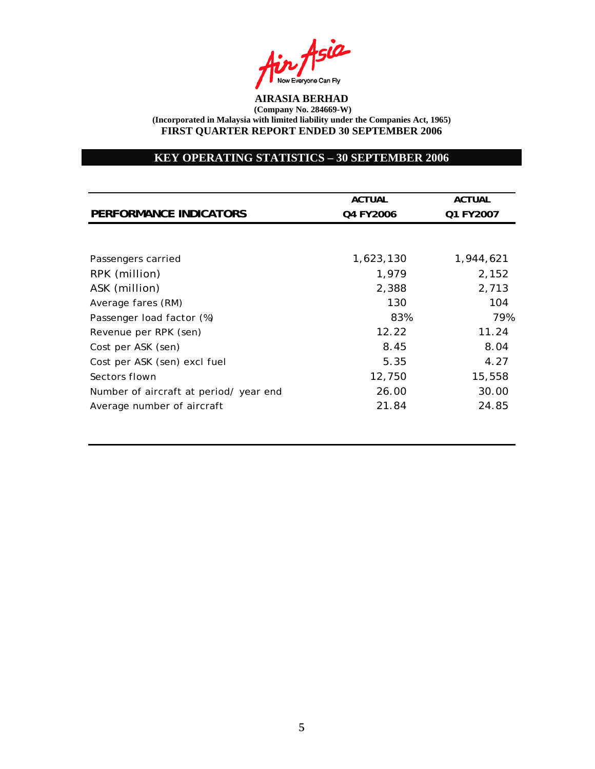Asia **I** Now Everyone Can Fly<br>AIRASIA BERHAD

# **KEY OPERATING STATISTICS – 30 SEPTEMBER 2006**

| <b>ACTUAL</b><br>Q4 FY2006 | <b>ACTUAL</b> |
|----------------------------|---------------|
|                            |               |
|                            | Q1 FY2007     |
|                            |               |
|                            |               |
| 1,623,130                  | 1,944,621     |
| 1,979                      | 2,152         |
| 2,388                      | 2,713         |
| 130                        | 104           |
| 83%                        | 79%           |
| 12.22                      | 11.24         |
| 8.45                       | 8.04          |
| 5.35                       | 4.27          |
| 12,750                     | 15,558        |
| 26.00                      | 30.00         |
| 21.84                      | 24.85         |
|                            |               |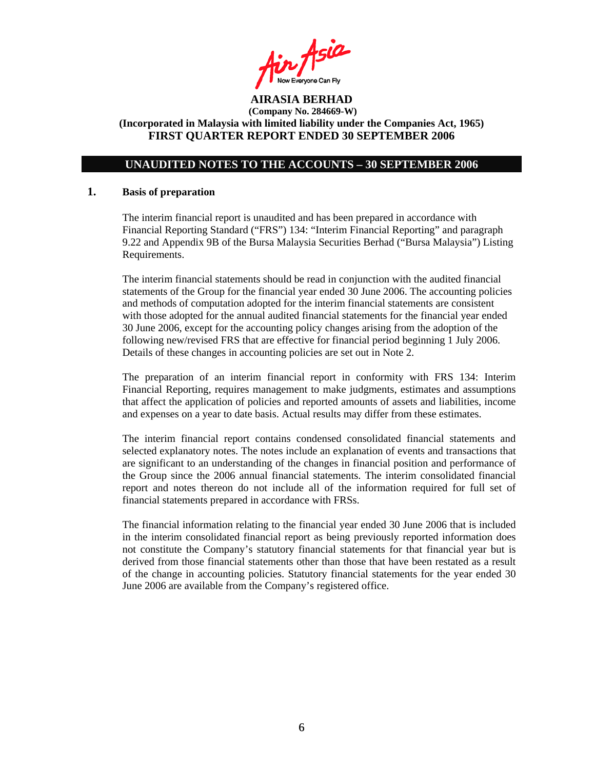Air Asia

## **UNAUDITED NOTES TO THE ACCOUNTS – 30 SEPTEMBER 2006**

#### **1. Basis of preparation**

The interim financial report is unaudited and has been prepared in accordance with Financial Reporting Standard ("FRS") 134: "Interim Financial Reporting" and paragraph 9.22 and Appendix 9B of the Bursa Malaysia Securities Berhad ("Bursa Malaysia") Listing Requirements.

The interim financial statements should be read in conjunction with the audited financial statements of the Group for the financial year ended 30 June 2006. The accounting policies and methods of computation adopted for the interim financial statements are consistent with those adopted for the annual audited financial statements for the financial year ended 30 June 2006, except for the accounting policy changes arising from the adoption of the following new/revised FRS that are effective for financial period beginning 1 July 2006. Details of these changes in accounting policies are set out in Note 2.

The preparation of an interim financial report in conformity with FRS 134: Interim Financial Reporting, requires management to make judgments, estimates and assumptions that affect the application of policies and reported amounts of assets and liabilities, income and expenses on a year to date basis. Actual results may differ from these estimates.

The interim financial report contains condensed consolidated financial statements and selected explanatory notes. The notes include an explanation of events and transactions that are significant to an understanding of the changes in financial position and performance of the Group since the 2006 annual financial statements. The interim consolidated financial report and notes thereon do not include all of the information required for full set of financial statements prepared in accordance with FRSs.

The financial information relating to the financial year ended 30 June 2006 that is included in the interim consolidated financial report as being previously reported information does not constitute the Company's statutory financial statements for that financial year but is derived from those financial statements other than those that have been restated as a result of the change in accounting policies. Statutory financial statements for the year ended 30 June 2006 are available from the Company's registered office.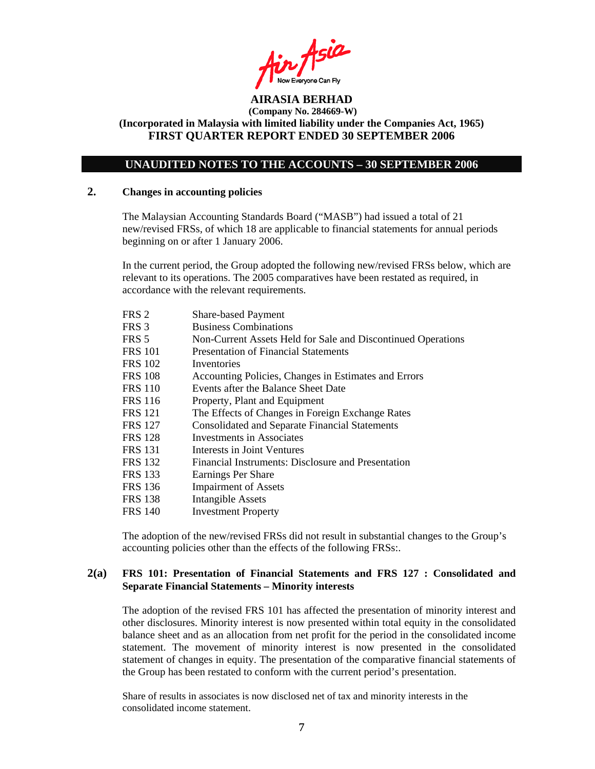$A$ sia

## **UNAUDITED NOTES TO THE ACCOUNTS – 30 SEPTEMBER 2006**

#### **2. Changes in accounting policies**

The Malaysian Accounting Standards Board ("MASB") had issued a total of 21 new/revised FRSs, of which 18 are applicable to financial statements for annual periods beginning on or after 1 January 2006.

In the current period, the Group adopted the following new/revised FRSs below, which are relevant to its operations. The 2005 comparatives have been restated as required, in accordance with the relevant requirements.

| FRS <sub>2</sub> | <b>Share-based Payment</b>                                   |
|------------------|--------------------------------------------------------------|
| FRS <sub>3</sub> | <b>Business Combinations</b>                                 |
| FRS 5            | Non-Current Assets Held for Sale and Discontinued Operations |
| FRS 101          | <b>Presentation of Financial Statements</b>                  |
| FRS 102          | Inventories                                                  |
| <b>FRS 108</b>   | Accounting Policies, Changes in Estimates and Errors         |
| FRS 110          | Events after the Balance Sheet Date                          |
| FRS 116          | Property, Plant and Equipment                                |
| <b>FRS 121</b>   | The Effects of Changes in Foreign Exchange Rates             |
| FRS 127          | <b>Consolidated and Separate Financial Statements</b>        |
| FRS 128          | Investments in Associates                                    |
| FRS 131          | Interests in Joint Ventures                                  |
| <b>FRS 132</b>   | Financial Instruments: Disclosure and Presentation           |
| FRS 133          | Earnings Per Share                                           |
| FRS 136          | <b>Impairment of Assets</b>                                  |
| FRS 138          | <b>Intangible Assets</b>                                     |
| FRS 140          | <b>Investment Property</b>                                   |

The adoption of the new/revised FRSs did not result in substantial changes to the Group's accounting policies other than the effects of the following FRSs:.

#### **2(a) FRS 101: Presentation of Financial Statements and FRS 127 : Consolidated and Separate Financial Statements – Minority interests**

The adoption of the revised FRS 101 has affected the presentation of minority interest and other disclosures. Minority interest is now presented within total equity in the consolidated balance sheet and as an allocation from net profit for the period in the consolidated income statement. The movement of minority interest is now presented in the consolidated statement of changes in equity. The presentation of the comparative financial statements of the Group has been restated to conform with the current period's presentation.

Share of results in associates is now disclosed net of tax and minority interests in the consolidated income statement.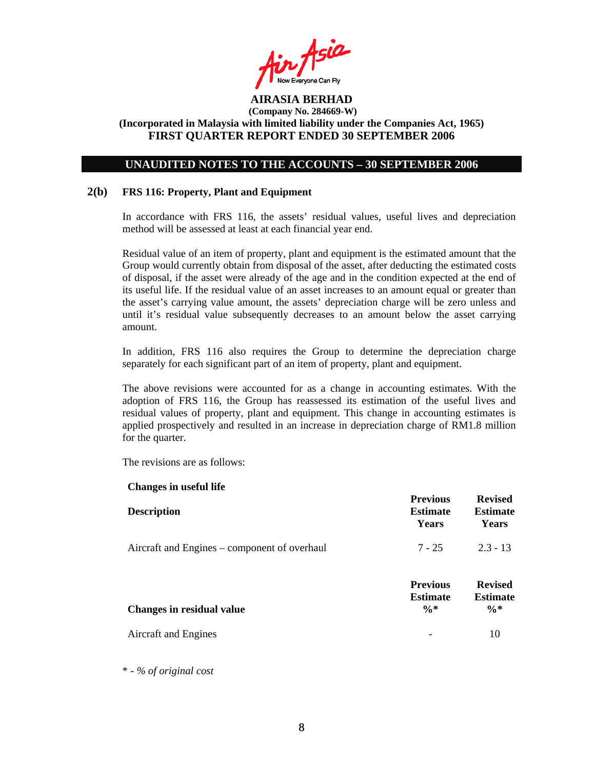fin Asia

### **UNAUDITED NOTES TO THE ACCOUNTS – 30 SEPTEMBER 2006**

### **2(b) FRS 116: Property, Plant and Equipment**

In accordance with FRS 116, the assets' residual values, useful lives and depreciation method will be assessed at least at each financial year end.

Residual value of an item of property, plant and equipment is the estimated amount that the Group would currently obtain from disposal of the asset, after deducting the estimated costs of disposal, if the asset were already of the age and in the condition expected at the end of its useful life. If the residual value of an asset increases to an amount equal or greater than the asset's carrying value amount, the assets' depreciation charge will be zero unless and until it's residual value subsequently decreases to an amount below the asset carrying amount.

In addition, FRS 116 also requires the Group to determine the depreciation charge separately for each significant part of an item of property, plant and equipment.

The above revisions were accounted for as a change in accounting estimates. With the adoption of FRS 116, the Group has reassessed its estimation of the useful lives and residual values of property, plant and equipment. This change in accounting estimates is applied prospectively and resulted in an increase in depreciation charge of RM1.8 million for the quarter.

The revisions are as follows:

**Changes in useful life** 

| Unanges in useful the                        |                                                       |                                                      |
|----------------------------------------------|-------------------------------------------------------|------------------------------------------------------|
| <b>Description</b>                           | <b>Previous</b><br><b>Estimate</b><br>Years           | <b>Revised</b><br><b>Estimate</b><br>Years           |
| Aircraft and Engines – component of overhaul | $7 - 25$                                              | $2.3 - 13$                                           |
| <b>Changes in residual value</b>             | <b>Previous</b><br><b>Estimate</b><br>$\frac{0}{6}$ * | <b>Revised</b><br><b>Estimate</b><br>$\frac{0}{6}$ * |
| Aircraft and Engines                         |                                                       | 10                                                   |

\* - *% of original cost*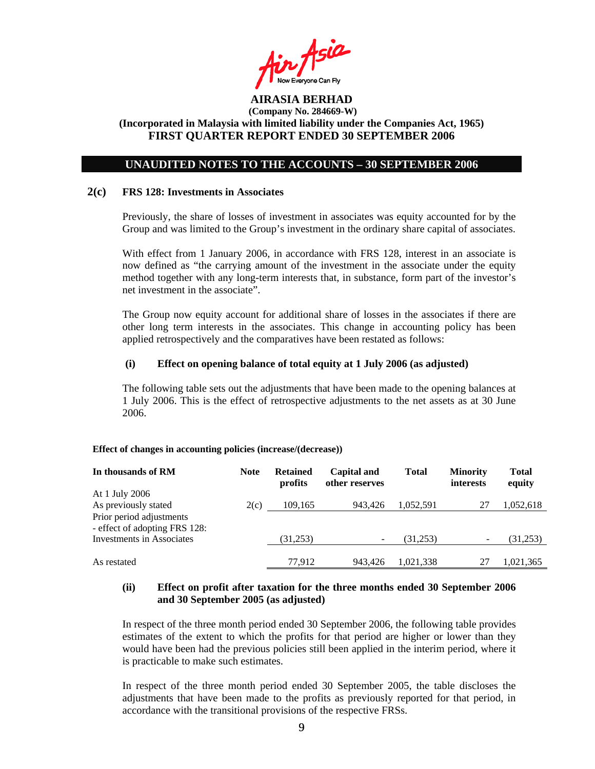Air Asia

## **UNAUDITED NOTES TO THE ACCOUNTS – 30 SEPTEMBER 2006**

#### **2(c) FRS 128: Investments in Associates**

Previously, the share of losses of investment in associates was equity accounted for by the Group and was limited to the Group's investment in the ordinary share capital of associates.

With effect from 1 January 2006, in accordance with FRS 128, interest in an associate is now defined as "the carrying amount of the investment in the associate under the equity method together with any long-term interests that, in substance, form part of the investor's net investment in the associate".

The Group now equity account for additional share of losses in the associates if there are other long term interests in the associates. This change in accounting policy has been applied retrospectively and the comparatives have been restated as follows:

#### **(i) Effect on opening balance of total equity at 1 July 2006 (as adjusted)**

The following table sets out the adjustments that have been made to the opening balances at 1 July 2006. This is the effect of retrospective adjustments to the net assets as at 30 June 2006.

#### **Effect of changes in accounting policies (increase/(decrease))**

| In thousands of RM                                        | <b>Note</b> | <b>Retained</b><br>profits | <b>Capital and</b><br>other reserves | <b>Total</b> | <b>Minority</b><br>interests | <b>Total</b><br>equity |
|-----------------------------------------------------------|-------------|----------------------------|--------------------------------------|--------------|------------------------------|------------------------|
| At 1 July 2006                                            |             |                            |                                      |              |                              |                        |
| As previously stated                                      | 2(c)        | 109,165                    | 943,426                              | 1,052,591    | 27                           | 1,052,618              |
| Prior period adjustments<br>- effect of adopting FRS 128: |             |                            |                                      |              |                              |                        |
| Investments in Associates                                 |             | (31,253)                   | $\overline{\phantom{0}}$             | (31,253)     |                              | (31,253)               |
| As restated                                               |             | 77.912                     | 943.426                              | 1.021.338    | 27                           | 1,021,365              |

### **(ii) Effect on profit after taxation for the three months ended 30 September 2006 and 30 September 2005 (as adjusted)**

In respect of the three month period ended 30 September 2006, the following table provides estimates of the extent to which the profits for that period are higher or lower than they would have been had the previous policies still been applied in the interim period, where it is practicable to make such estimates.

In respect of the three month period ended 30 September 2005, the table discloses the adjustments that have been made to the profits as previously reported for that period, in accordance with the transitional provisions of the respective FRSs.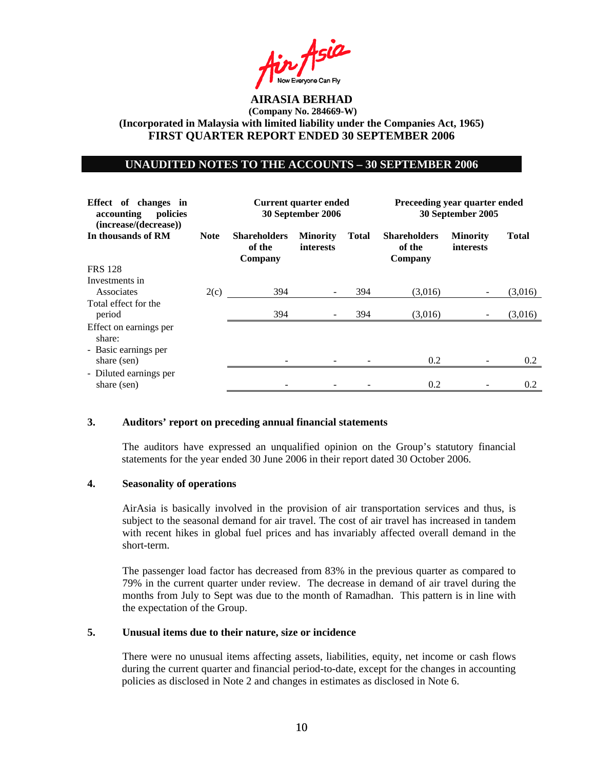Air Asia

#### **UNAUDITED NOTES TO THE ACCOUNTS – 30 SEPTEMBER 2006**

| Effect of changes in<br>accounting<br>policies<br>(increase/(decrease)) |             | Current quarter ended<br>30 September 2006 |                              | Preceeding year quarter ended<br>30 September 2005 |                                          |                              |              |
|-------------------------------------------------------------------------|-------------|--------------------------------------------|------------------------------|----------------------------------------------------|------------------------------------------|------------------------------|--------------|
| In thousands of RM                                                      | <b>Note</b> | <b>Shareholders</b><br>of the<br>Company   | <b>Minority</b><br>interests | <b>Total</b>                                       | <b>Shareholders</b><br>of the<br>Company | <b>Minority</b><br>interests | <b>Total</b> |
| <b>FRS</b> 128                                                          |             |                                            |                              |                                                    |                                          |                              |              |
| Investments in<br>Associates                                            | 2(c)        | 394                                        |                              | 394                                                | (3,016)                                  |                              | (3,016)      |
| Total effect for the<br>period                                          |             | 394                                        |                              | 394                                                | (3,016)                                  |                              | (3,016)      |
| Effect on earnings per<br>share:                                        |             |                                            |                              |                                                    |                                          |                              |              |
| - Basic earnings per<br>share (sen)                                     |             |                                            |                              |                                                    | 0.2                                      |                              | 0.2          |
| - Diluted earnings per<br>share (sen)                                   |             |                                            |                              |                                                    | 0.2                                      |                              | 0.2          |

### **3. Auditors' report on preceding annual financial statements**

The auditors have expressed an unqualified opinion on the Group's statutory financial statements for the year ended 30 June 2006 in their report dated 30 October 2006.

### **4. Seasonality of operations**

AirAsia is basically involved in the provision of air transportation services and thus, is subject to the seasonal demand for air travel. The cost of air travel has increased in tandem with recent hikes in global fuel prices and has invariably affected overall demand in the short-term.

The passenger load factor has decreased from 83% in the previous quarter as compared to 79% in the current quarter under review. The decrease in demand of air travel during the months from July to Sept was due to the month of Ramadhan. This pattern is in line with the expectation of the Group.

### **5. Unusual items due to their nature, size or incidence**

 There were no unusual items affecting assets, liabilities, equity, net income or cash flows during the current quarter and financial period-to-date, except for the changes in accounting policies as disclosed in Note 2 and changes in estimates as disclosed in Note 6.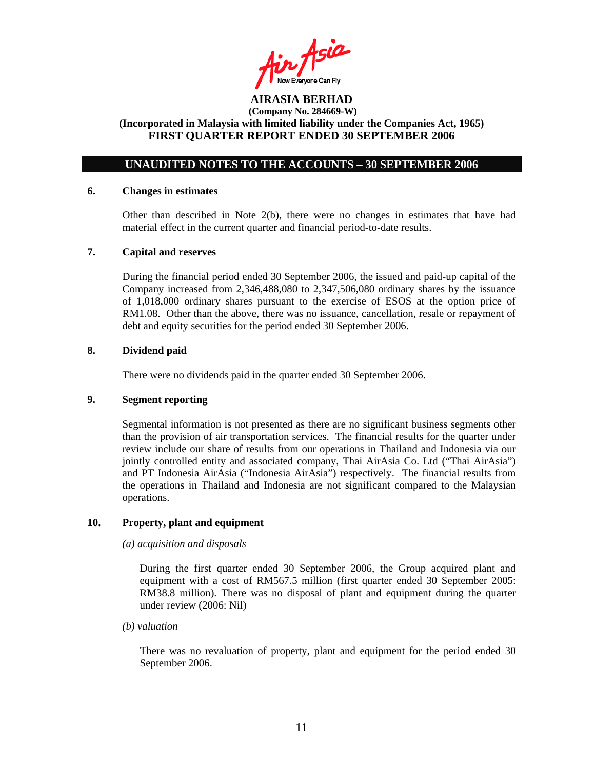Air Asia

# **UNAUDITED NOTES TO THE ACCOUNTS – 30 SEPTEMBER 2006**

#### **6. Changes in estimates**

Other than described in Note  $2(b)$ , there were no changes in estimates that have had material effect in the current quarter and financial period-to-date results.

#### **7. Capital and reserves**

During the financial period ended 30 September 2006, the issued and paid-up capital of the Company increased from 2,346,488,080 to 2,347,506,080 ordinary shares by the issuance of 1,018,000 ordinary shares pursuant to the exercise of ESOS at the option price of RM1.08. Other than the above, there was no issuance, cancellation, resale or repayment of debt and equity securities for the period ended 30 September 2006.

### **8. Dividend paid**

There were no dividends paid in the quarter ended 30 September 2006.

### **9. Segment reporting**

Segmental information is not presented as there are no significant business segments other than the provision of air transportation services. The financial results for the quarter under review include our share of results from our operations in Thailand and Indonesia via our jointly controlled entity and associated company, Thai AirAsia Co. Ltd ("Thai AirAsia") and PT Indonesia AirAsia ("Indonesia AirAsia") respectively. The financial results from the operations in Thailand and Indonesia are not significant compared to the Malaysian operations.

### **10. Property, plant and equipment**

#### *(a) acquisition and disposals*

During the first quarter ended 30 September 2006, the Group acquired plant and equipment with a cost of RM567.5 million (first quarter ended 30 September 2005: RM38.8 million). There was no disposal of plant and equipment during the quarter under review (2006: Nil)

 *(b) valuation* 

 There was no revaluation of property, plant and equipment for the period ended 30 September 2006.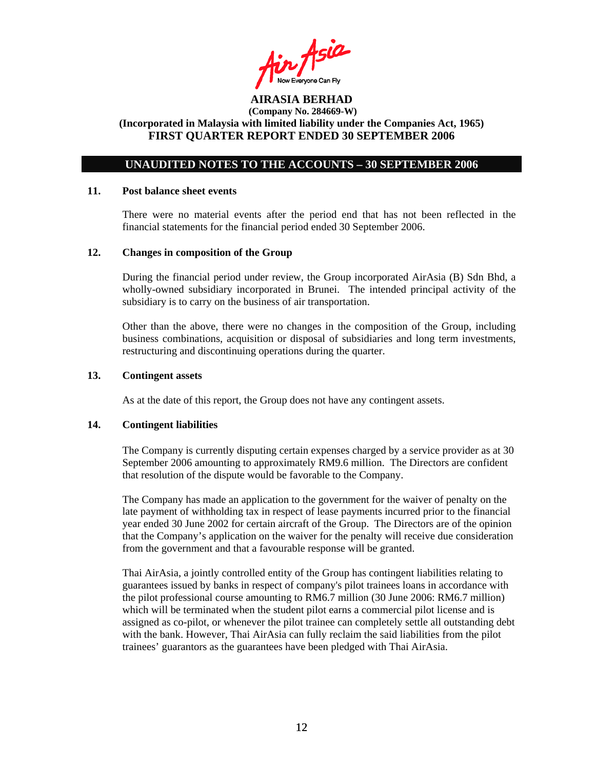Air Asia

# **UNAUDITED NOTES TO THE ACCOUNTS – 30 SEPTEMBER 2006**

#### **11. Post balance sheet events**

There were no material events after the period end that has not been reflected in the financial statements for the financial period ended 30 September 2006.

#### **12. Changes in composition of the Group**

During the financial period under review, the Group incorporated AirAsia (B) Sdn Bhd, a wholly-owned subsidiary incorporated in Brunei. The intended principal activity of the subsidiary is to carry on the business of air transportation.

Other than the above, there were no changes in the composition of the Group, including business combinations, acquisition or disposal of subsidiaries and long term investments, restructuring and discontinuing operations during the quarter.

### **13. Contingent assets**

As at the date of this report, the Group does not have any contingent assets.

#### **14. Contingent liabilities**

The Company is currently disputing certain expenses charged by a service provider as at 30 September 2006 amounting to approximately RM9.6 million. The Directors are confident that resolution of the dispute would be favorable to the Company.

The Company has made an application to the government for the waiver of penalty on the late payment of withholding tax in respect of lease payments incurred prior to the financial year ended 30 June 2002 for certain aircraft of the Group. The Directors are of the opinion that the Company's application on the waiver for the penalty will receive due consideration from the government and that a favourable response will be granted.

 Thai AirAsia, a jointly controlled entity of the Group has contingent liabilities relating to guarantees issued by banks in respect of company's pilot trainees loans in accordance with the pilot professional course amounting to RM6.7 million (30 June 2006: RM6.7 million) which will be terminated when the student pilot earns a commercial pilot license and is assigned as co-pilot, or whenever the pilot trainee can completely settle all outstanding debt with the bank. However, Thai AirAsia can fully reclaim the said liabilities from the pilot trainees' guarantors as the guarantees have been pledged with Thai AirAsia.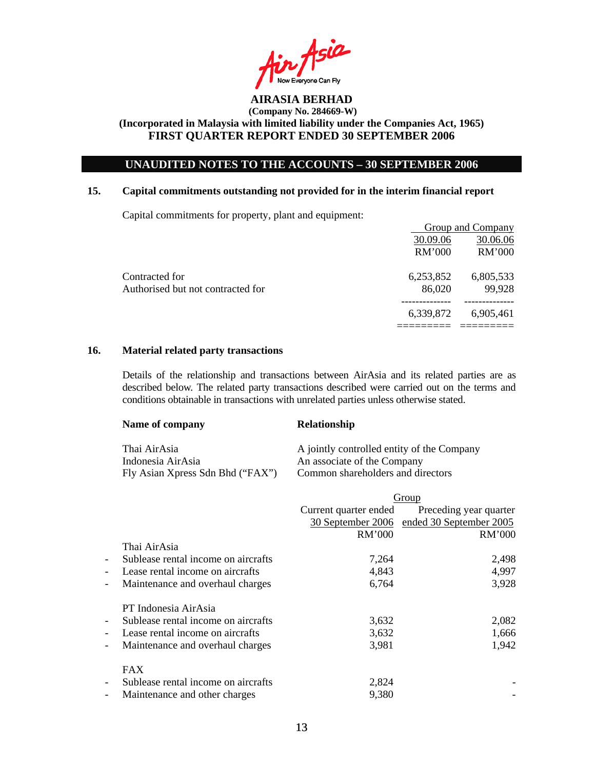Asia **I** Now Everyone Can Fly<br>**AIRASIA BERHAD** 

# **UNAUDITED NOTES TO THE ACCOUNTS – 30 SEPTEMBER 2006**

#### **15. Capital commitments outstanding not provided for in the interim financial report**

Capital commitments for property, plant and equipment:

|                                   |           | Group and Company |
|-----------------------------------|-----------|-------------------|
|                                   | 30.09.06  | 30.06.06          |
|                                   | RM'000    | RM'000            |
| Contracted for                    | 6,253,852 | 6,805,533         |
| Authorised but not contracted for | 86,020    | 99,928            |
|                                   | 6,339,872 | 6,905,461         |
|                                   |           |                   |

## **16. Material related party transactions**

Details of the relationship and transactions between AirAsia and its related parties are as described below. The related party transactions described were carried out on the terms and conditions obtainable in transactions with unrelated parties unless otherwise stated.

| Name of company                  | <b>Relationship</b>                        |
|----------------------------------|--------------------------------------------|
| Thai AirAsia                     | A jointly controlled entity of the Company |
| Indonesia AirAsia                | An associate of the Company                |
| Fly Asian Xpress Sdn Bhd ("FAX") | Common shareholders and directors          |

|                                                                 | Group                 |                         |  |
|-----------------------------------------------------------------|-----------------------|-------------------------|--|
|                                                                 | Current quarter ended | Preceding year quarter  |  |
|                                                                 | 30 September 2006     | ended 30 September 2005 |  |
|                                                                 | RM'000                | RM'000                  |  |
| Thai AirAsia                                                    |                       |                         |  |
| Sublease rental income on aircrafts<br>$\overline{\phantom{a}}$ | 7,264                 | 2,498                   |  |
| Lease rental income on aircrafts<br>$\overline{\phantom{0}}$    | 4,843                 | 4,997                   |  |
| Maintenance and overhaul charges<br>-                           | 6,764                 | 3,928                   |  |
| PT Indonesia AirAsia                                            |                       |                         |  |
| Sublease rental income on aircrafts<br>$\overline{\phantom{a}}$ | 3,632                 | 2,082                   |  |
| Lease rental income on aircrafts<br>$\overline{\phantom{a}}$    | 3,632                 | 1,666                   |  |
| Maintenance and overhaul charges<br>$\overline{\phantom{a}}$    | 3,981                 | 1,942                   |  |
| <b>FAX</b>                                                      |                       |                         |  |
| Sublease rental income on aircrafts<br>$\overline{\phantom{a}}$ | 2,824                 |                         |  |
| Maintenance and other charges<br>$\overline{\phantom{a}}$       | 9,380                 |                         |  |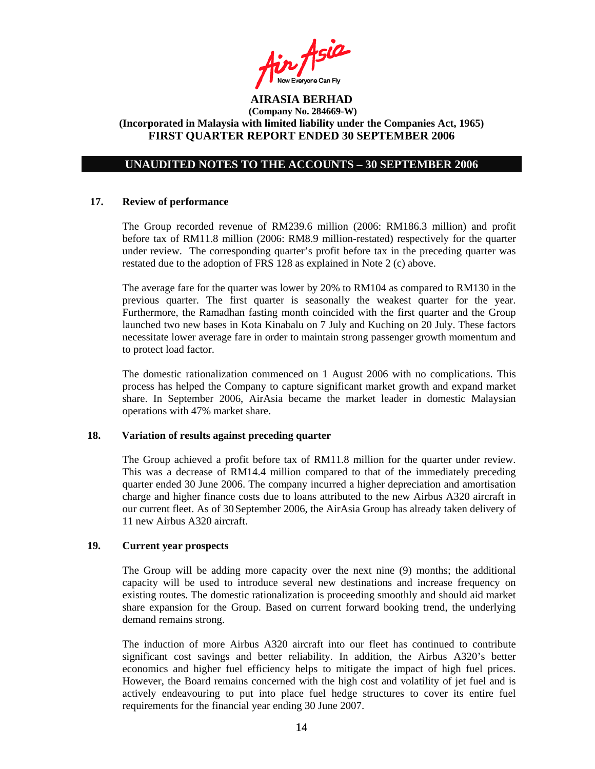Air Asia

## **UNAUDITED NOTES TO THE ACCOUNTS – 30 SEPTEMBER 2006**

#### **17. Review of performance**

The Group recorded revenue of RM239.6 million (2006: RM186.3 million) and profit before tax of RM11.8 million (2006: RM8.9 million-restated) respectively for the quarter under review. The corresponding quarter's profit before tax in the preceding quarter was restated due to the adoption of FRS 128 as explained in Note 2 (c) above.

The average fare for the quarter was lower by 20% to RM104 as compared to RM130 in the previous quarter. The first quarter is seasonally the weakest quarter for the year. Furthermore, the Ramadhan fasting month coincided with the first quarter and the Group launched two new bases in Kota Kinabalu on 7 July and Kuching on 20 July. These factors necessitate lower average fare in order to maintain strong passenger growth momentum and to protect load factor.

The domestic rationalization commenced on 1 August 2006 with no complications. This process has helped the Company to capture significant market growth and expand market share. In September 2006, AirAsia became the market leader in domestic Malaysian operations with 47% market share.

#### **18. Variation of results against preceding quarter**

The Group achieved a profit before tax of RM11.8 million for the quarter under review. This was a decrease of RM14.4 million compared to that of the immediately preceding quarter ended 30 June 2006. The company incurred a higher depreciation and amortisation charge and higher finance costs due to loans attributed to the new Airbus A320 aircraft in our current fleet. As of 30September 2006, the AirAsia Group has already taken delivery of 11 new Airbus A320 aircraft.

# **19. Current year prospects**

The Group will be adding more capacity over the next nine (9) months; the additional capacity will be used to introduce several new destinations and increase frequency on existing routes. The domestic rationalization is proceeding smoothly and should aid market share expansion for the Group. Based on current forward booking trend, the underlying demand remains strong.

The induction of more Airbus A320 aircraft into our fleet has continued to contribute significant cost savings and better reliability. In addition, the Airbus A320's better economics and higher fuel efficiency helps to mitigate the impact of high fuel prices. However, the Board remains concerned with the high cost and volatility of jet fuel and is actively endeavouring to put into place fuel hedge structures to cover its entire fuel requirements for the financial year ending 30 June 2007.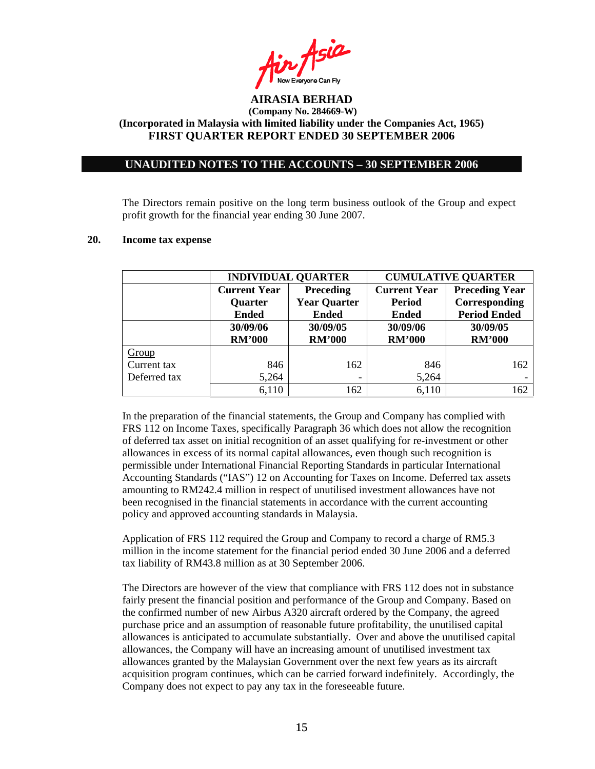

# **UNAUDITED NOTES TO THE ACCOUNTS – 30 SEPTEMBER 2006**

The Directors remain positive on the long term business outlook of the Group and expect profit growth for the financial year ending 30 June 2007.

|              |                     | <b>INDIVIDUAL QUARTER</b> | <b>CUMULATIVE QUARTER</b> |                       |  |
|--------------|---------------------|---------------------------|---------------------------|-----------------------|--|
|              | <b>Current Year</b> | Preceding                 | <b>Current Year</b>       | <b>Preceding Year</b> |  |
|              | <b>Quarter</b>      | <b>Year Quarter</b>       | <b>Period</b>             | Corresponding         |  |
|              | <b>Ended</b>        | <b>Ended</b>              | <b>Ended</b>              | <b>Period Ended</b>   |  |
|              | 30/09/06            | 30/09/05                  | 30/09/06                  | 30/09/05              |  |
|              | <b>RM'000</b>       | <b>RM'000</b>             | <b>RM'000</b>             | <b>RM'000</b>         |  |
| Group        |                     |                           |                           |                       |  |
| Current tax  | 846                 | 162                       | 846                       | 162                   |  |
| Deferred tax | 5,264               |                           | 5,264                     |                       |  |
|              | 6,110               | 162                       | 6,110                     | 162                   |  |

#### **20. Income tax expense**

In the preparation of the financial statements, the Group and Company has complied with FRS 112 on Income Taxes, specifically Paragraph 36 which does not allow the recognition of deferred tax asset on initial recognition of an asset qualifying for re-investment or other allowances in excess of its normal capital allowances, even though such recognition is permissible under International Financial Reporting Standards in particular International Accounting Standards ("IAS") 12 on Accounting for Taxes on Income. Deferred tax assets amounting to RM242.4 million in respect of unutilised investment allowances have not been recognised in the financial statements in accordance with the current accounting policy and approved accounting standards in Malaysia.

Application of FRS 112 required the Group and Company to record a charge of RM5.3 million in the income statement for the financial period ended 30 June 2006 and a deferred tax liability of RM43.8 million as at 30 September 2006.

The Directors are however of the view that compliance with FRS 112 does not in substance fairly present the financial position and performance of the Group and Company. Based on the confirmed number of new Airbus A320 aircraft ordered by the Company, the agreed purchase price and an assumption of reasonable future profitability, the unutilised capital allowances is anticipated to accumulate substantially. Over and above the unutilised capital allowances, the Company will have an increasing amount of unutilised investment tax allowances granted by the Malaysian Government over the next few years as its aircraft acquisition program continues, which can be carried forward indefinitely. Accordingly, the Company does not expect to pay any tax in the foreseeable future.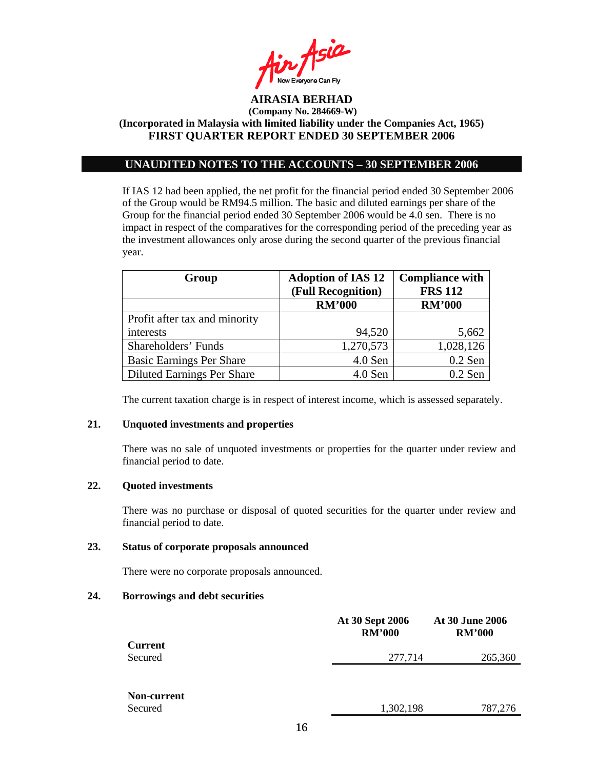

# **UNAUDITED NOTES TO THE ACCOUNTS – 30 SEPTEMBER 2006**

If IAS 12 had been applied, the net profit for the financial period ended 30 September 2006 of the Group would be RM94.5 million. The basic and diluted earnings per share of the Group for the financial period ended 30 September 2006 would be 4.0 sen. There is no impact in respect of the comparatives for the corresponding period of the preceding year as the investment allowances only arose during the second quarter of the previous financial year.

| Group                             | <b>Adoption of IAS 12</b><br>(Full Recognition) | <b>Compliance with</b><br><b>FRS 112</b> |  |
|-----------------------------------|-------------------------------------------------|------------------------------------------|--|
|                                   | <b>RM'000</b>                                   | <b>RM'000</b>                            |  |
| Profit after tax and minority     |                                                 |                                          |  |
| interests                         | 94,520                                          | 5,662                                    |  |
| Shareholders' Funds               | 1,270,573                                       | 1,028,126                                |  |
| <b>Basic Earnings Per Share</b>   | 4.0 Sen                                         | $0.2$ Sen                                |  |
| <b>Diluted Earnings Per Share</b> | 4.0 Sen                                         | $0.2$ Sen                                |  |

The current taxation charge is in respect of interest income, which is assessed separately.

# **21. Unquoted investments and properties**

There was no sale of unquoted investments or properties for the quarter under review and financial period to date.

# **22. Quoted investments**

There was no purchase or disposal of quoted securities for the quarter under review and financial period to date.

### **23. Status of corporate proposals announced**

There were no corporate proposals announced.

### **24. Borrowings and debt securities**

|                    | At 30 Sept 2006<br><b>RM'000</b> | <b>At 30 June 2006</b><br><b>RM'000</b> |
|--------------------|----------------------------------|-----------------------------------------|
| <b>Current</b>     |                                  |                                         |
| Secured            | 277,714                          | 265,360                                 |
|                    |                                  |                                         |
| <b>Non-current</b> |                                  |                                         |
| Secured            | 1,302,198                        | 787,276                                 |
|                    |                                  |                                         |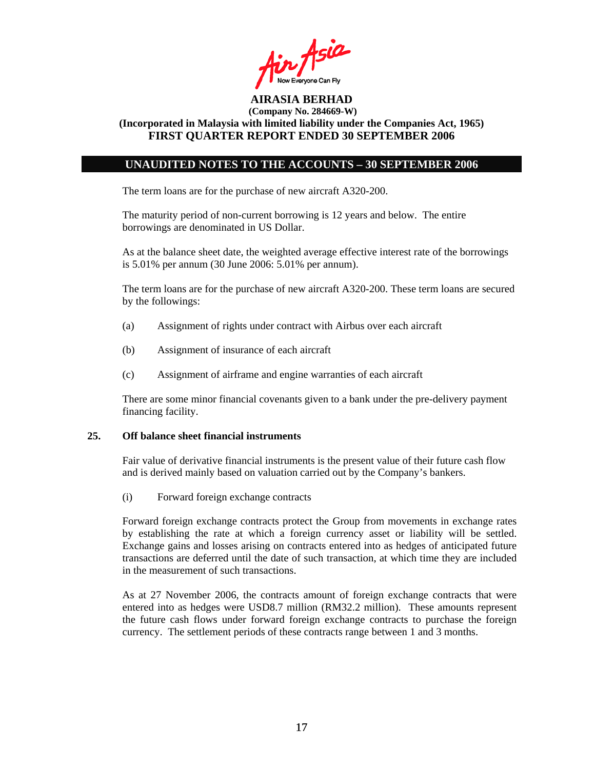Air Asia

## **UNAUDITED NOTES TO THE ACCOUNTS – 30 SEPTEMBER 2006**

The term loans are for the purchase of new aircraft A320-200.

The maturity period of non-current borrowing is 12 years and below. The entire borrowings are denominated in US Dollar.

As at the balance sheet date, the weighted average effective interest rate of the borrowings is 5.01% per annum (30 June 2006: 5.01% per annum).

The term loans are for the purchase of new aircraft A320-200. These term loans are secured by the followings:

- (a) Assignment of rights under contract with Airbus over each aircraft
- (b) Assignment of insurance of each aircraft
- (c) Assignment of airframe and engine warranties of each aircraft

There are some minor financial covenants given to a bank under the pre-delivery payment financing facility.

#### **25. Off balance sheet financial instruments**

Fair value of derivative financial instruments is the present value of their future cash flow and is derived mainly based on valuation carried out by the Company's bankers.

(i) Forward foreign exchange contracts

Forward foreign exchange contracts protect the Group from movements in exchange rates by establishing the rate at which a foreign currency asset or liability will be settled. Exchange gains and losses arising on contracts entered into as hedges of anticipated future transactions are deferred until the date of such transaction, at which time they are included in the measurement of such transactions.

As at 27 November 2006, the contracts amount of foreign exchange contracts that were entered into as hedges were USD8.7 million (RM32.2 million). These amounts represent the future cash flows under forward foreign exchange contracts to purchase the foreign currency. The settlement periods of these contracts range between 1 and 3 months.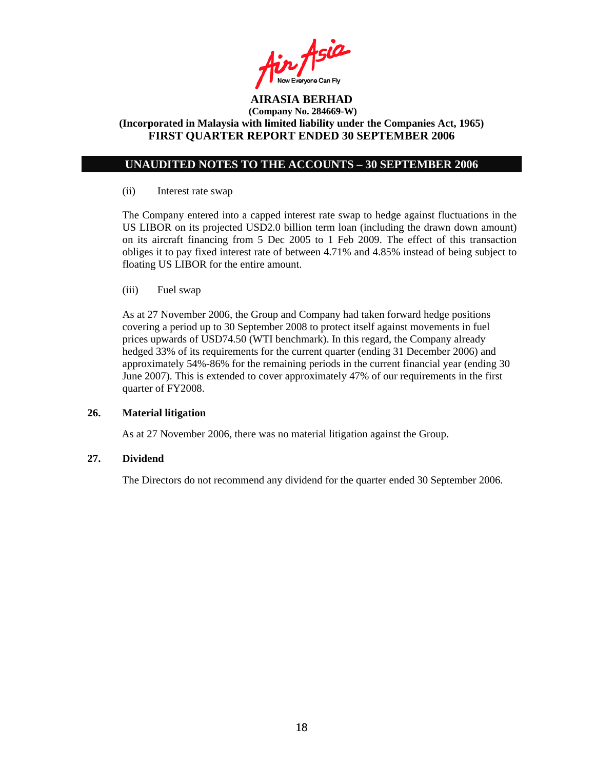$in$  Asia

# **UNAUDITED NOTES TO THE ACCOUNTS – 30 SEPTEMBER 2006**

#### (ii) Interest rate swap

The Company entered into a capped interest rate swap to hedge against fluctuations in the US LIBOR on its projected USD2.0 billion term loan (including the drawn down amount) on its aircraft financing from 5 Dec 2005 to 1 Feb 2009. The effect of this transaction obliges it to pay fixed interest rate of between 4.71% and 4.85% instead of being subject to floating US LIBOR for the entire amount.

(iii) Fuel swap

As at 27 November 2006, the Group and Company had taken forward hedge positions covering a period up to 30 September 2008 to protect itself against movements in fuel prices upwards of USD74.50 (WTI benchmark). In this regard, the Company already hedged 33% of its requirements for the current quarter (ending 31 December 2006) and approximately 54%-86% for the remaining periods in the current financial year (ending 30 June 2007). This is extended to cover approximately 47% of our requirements in the first quarter of FY2008.

#### **26. Material litigation**

As at 27 November 2006, there was no material litigation against the Group.

# **27. Dividend**

The Directors do not recommend any dividend for the quarter ended 30 September 2006.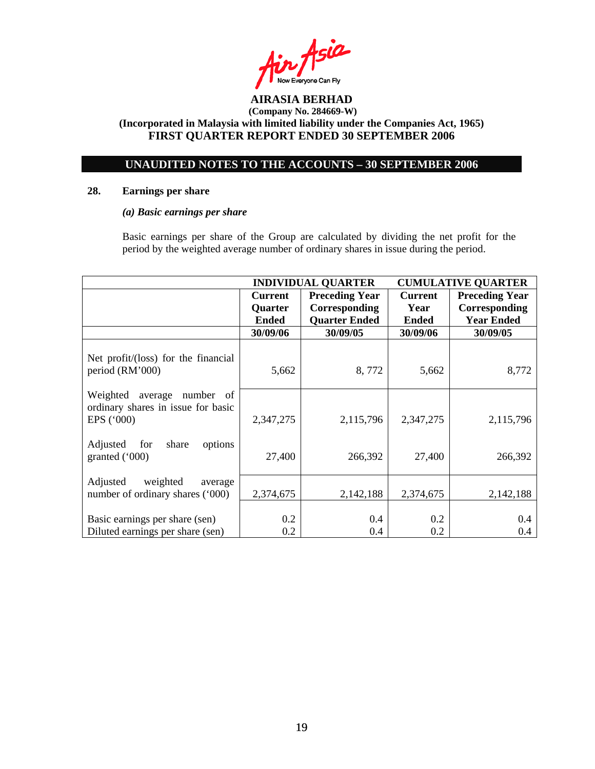$A$ sia **AIRASIA BERHAD** 

# **UNAUDITED NOTES TO THE ACCOUNTS – 30 SEPTEMBER 2006**

## **28. Earnings per share**

## *(a) Basic earnings per share*

 Basic earnings per share of the Group are calculated by dividing the net profit for the period by the weighted average number of ordinary shares in issue during the period.

|                                                                                          | <b>INDIVIDUAL QUARTER</b> |                       | <b>CUMULATIVE QUARTER</b> |                       |
|------------------------------------------------------------------------------------------|---------------------------|-----------------------|---------------------------|-----------------------|
|                                                                                          | <b>Current</b>            | <b>Preceding Year</b> | <b>Current</b>            | <b>Preceding Year</b> |
|                                                                                          | Quarter                   | Corresponding         | Year                      | Corresponding         |
|                                                                                          | <b>Ended</b>              | <b>Quarter Ended</b>  | <b>Ended</b>              | <b>Year Ended</b>     |
|                                                                                          | 30/09/06                  | 30/09/05              | 30/09/06                  | 30/09/05              |
| Net profit/(loss) for the financial<br>period (RM'000)                                   | 5,662                     | 8,772                 | 5,662                     | 8,772                 |
| Weighted<br>average<br>number<br>-of<br>ordinary shares in issue for basic<br>EPS ('000) | 2,347,275                 | 2,115,796             | 2,347,275                 | 2,115,796             |
| Adjusted for<br>share<br>options<br>granted ('000)                                       | 27,400                    | 266,392               | 27,400                    | 266,392               |
| Adjusted<br>weighted<br>average<br>number of ordinary shares ('000)                      | 2,374,675                 | 2,142,188             | 2,374,675                 | 2,142,188             |
| Basic earnings per share (sen)<br>Diluted earnings per share (sen)                       | 0.2<br>0.2                | 0.4<br>0.4            | 0.2<br>0.2                | 0.4<br>0.4            |